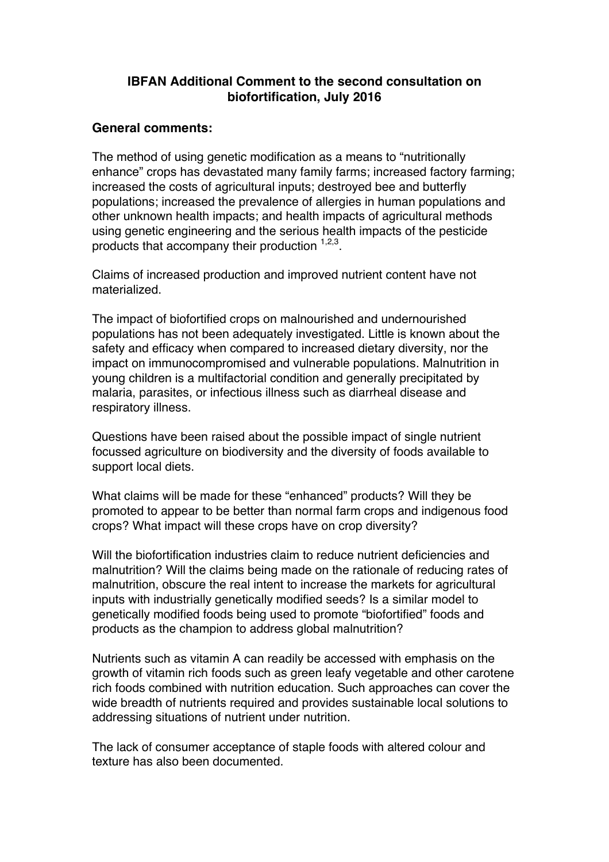## **IBFAN Additional Comment to the second consultation on biofortification, July 2016**

## **General comments:**

The method of using genetic modification as a means to "nutritionally enhance" crops has devastated many family farms; increased factory farming; increased the costs of agricultural inputs; destroyed bee and butterfly populations; increased the prevalence of allergies in human populations and other unknown health impacts; and health impacts of agricultural methods using genetic engineering and the serious health impacts of the pesticide products that accompany their production  $1,2,3$ .

Claims of increased production and improved nutrient content have not materialized.

The impact of biofortified crops on malnourished and undernourished populations has not been adequately investigated. Little is known about the safety and efficacy when compared to increased dietary diversity, nor the impact on immunocompromised and vulnerable populations. Malnutrition in young children is a multifactorial condition and generally precipitated by malaria, parasites, or infectious illness such as diarrheal disease and respiratory illness.

Questions have been raised about the possible impact of single nutrient focussed agriculture on biodiversity and the diversity of foods available to support local diets.

What claims will be made for these "enhanced" products? Will they be promoted to appear to be better than normal farm crops and indigenous food crops? What impact will these crops have on crop diversity?

Will the biofortification industries claim to reduce nutrient deficiencies and malnutrition? Will the claims being made on the rationale of reducing rates of malnutrition, obscure the real intent to increase the markets for agricultural inputs with industrially genetically modified seeds? Is a similar model to genetically modified foods being used to promote "biofortified" foods and products as the champion to address global malnutrition?

Nutrients such as vitamin A can readily be accessed with emphasis on the growth of vitamin rich foods such as green leafy vegetable and other carotene rich foods combined with nutrition education. Such approaches can cover the wide breadth of nutrients required and provides sustainable local solutions to addressing situations of nutrient under nutrition.

The lack of consumer acceptance of staple foods with altered colour and texture has also been documented.